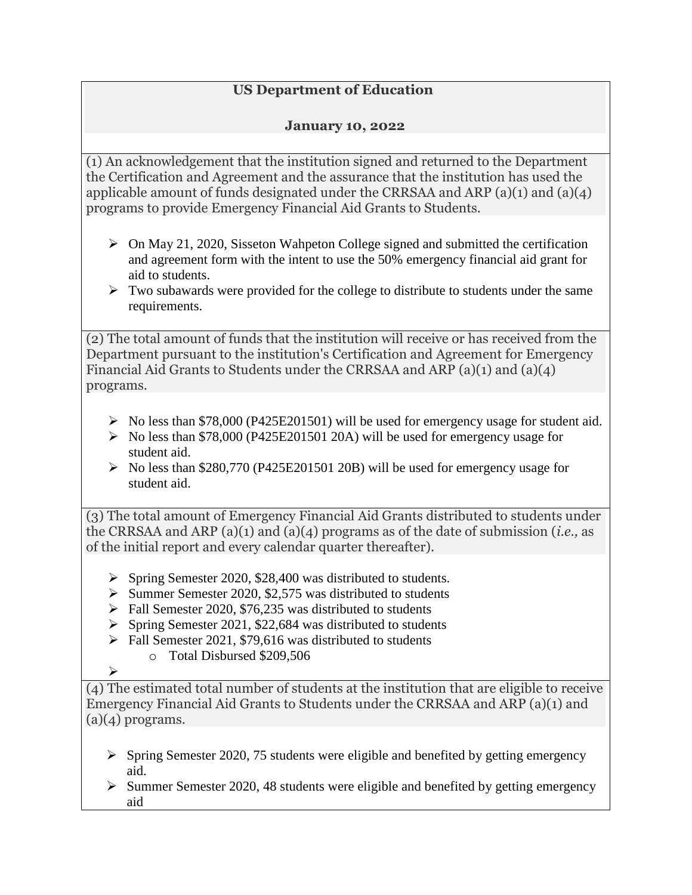## **US Department of Education**

## **January 10, 2022**

(1) An acknowledgement that the institution signed and returned to the Department the Certification and Agreement and the assurance that the institution has used the applicable amount of funds designated under the CRRSAA and ARP (a)(1) and (a)(4) programs to provide Emergency Financial Aid Grants to Students.

- $\triangleright$  On May 21, 2020, Sisseton Wahpeton College signed and submitted the certification and agreement form with the intent to use the 50% emergency financial aid grant for aid to students.
- $\triangleright$  Two subawards were provided for the college to distribute to students under the same requirements.

(2) The total amount of funds that the institution will receive or has received from the Department pursuant to the institution's Certification and Agreement for Emergency Financial Aid Grants to Students under the CRRSAA and ARP (a)(1) and (a)(4) programs.

- $\triangleright$  No less than \$78,000 (P425E201501) will be used for emergency usage for student aid.
- $\triangleright$  No less than \$78,000 (P425E201501 20A) will be used for emergency usage for student aid.
- $\triangleright$  No less than \$280,770 (P425E201501 20B) will be used for emergency usage for student aid.

(3) The total amount of Emergency Financial Aid Grants distributed to students under the CRRSAA and ARP (a)(1) and (a)(4) programs as of the date of submission (*i.e.,* as of the initial report and every calendar quarter thereafter).

- $\triangleright$  Spring Semester 2020, \$28,400 was distributed to students.
- $\triangleright$  Summer Semester 2020, \$2,575 was distributed to students
- $\triangleright$  Fall Semester 2020, \$76,235 was distributed to students
- $\triangleright$  Spring Semester 2021, \$22,684 was distributed to students
- $\triangleright$  Fall Semester 2021, \$79,616 was distributed to students
	- o Total Disbursed \$209,506

 $\blacktriangleright$ 

(4) The estimated total number of students at the institution that are eligible to receive Emergency Financial Aid Grants to Students under the CRRSAA and ARP (a)(1) and  $(a)(4)$  programs.

- $\triangleright$  Spring Semester 2020, 75 students were eligible and benefited by getting emergency aid.
- $\triangleright$  Summer Semester 2020, 48 students were eligible and benefited by getting emergency aid